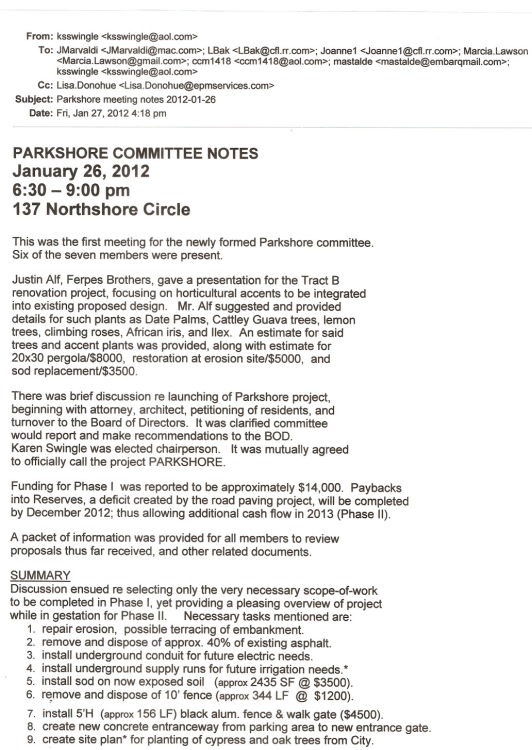From: ksswingle <ksswingle@aol.com>

- To: JMarvaldi <JMarvaldi@mac.com>; LBak <LBak@cfI.rr.com>; Joanne1 <Joanne1@cfl.rr.com>; Marcia.Lawson <Marcia.Lawson@gmail.com>; ccm1418 <ccm 1418@aol.com>; mastalde <mastalde@embarqmail.com>; ksswingle <ksswingle@aol.com>
- Cc: Lisa.Donohue <Lisa.Donohue@epmservices.com>

Subject: Parkshore meeting notes 2012-01-26

Date: Fri, Jan 27, 2012 4:18 pm

## **PARKSHORE COMMITTEE NOTES January 26, 2012 6:30 - 9:00 pm 137 Northshore Circle**

This was the first meeting for the newly formed Parkshore committee. Six of the seven members were present.

Justin Alf, Ferpes Brothers, gave a presentation for the Tract B renovation project, focusing on horticultural accents to be integrated into existing proposed design. Mr. Alf suggested and provided details for such plants as Date Palms, Cattley Guava trees, lemon trees, climbing roses, African iris, and lIex. An estimate for said trees and accent plants was provided, along with estimate for 20x30 pergola/\$8000, restoration at erosion site/\$5000, and sod replacement/\$3500.

There was brief discussion re launching of Parkshore project, beginning with attorney, architect, petitioning of residents, and turnover to the Board of Directors. It was clarified committee would report and make recommendations to the BOD. Karen Swingle was elected chairperson. It was mutually agreed to officially call the project PARKSHORE.

Funding for Phase I was reported to be approximately \$14,000. Paybacks into Reserves, a deficit created by the road paving project, will be completed by December 2012; thus allowing additional cash flow in 2013 (Phase II).

A packet of information was provided for all members to review proposals thus far received, and other related documents.

## SUMMARY

Discussion ensued re selecting only the very necessary scope-of-work to be completed in Phase I, yet providing a pleasing overview of project while in gestation for Phase II. Necessary tasks mentioned are: Necessary tasks mentioned are:

- 1. repair erosion, possible terracing of embankment.
- 2. remove and dispose of approx. 40% of existing asphalt.
- 3. install underground conduit for future electric needs.
- 4. install underground supply runs for future irrigation needs.\*
- 5. install sod on now exposed soil (approx 2435 SF @ \$3500).
- 6. remove and dispose of 10' fence (approx 344 LF  $\omega$  \$1200).
- 7. install 5'H (approx 156 LF) black alum. fence & walk gate (\$4500).
- 8. create new concrete entranceway from parking area to new entrance gate.
- 9. create site plan\* for planting of cypress and oak trees from City.